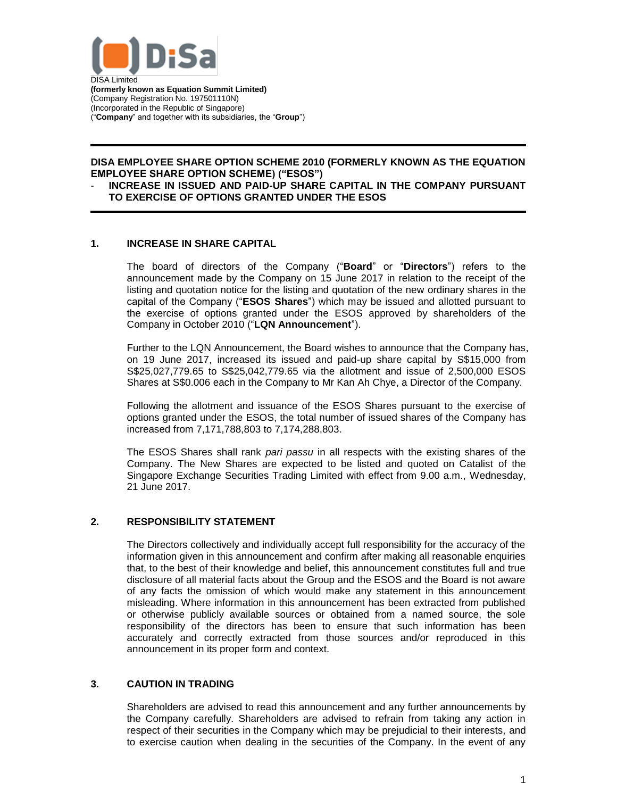

DISA Limited **(formerly known as Equation Summit Limited)** (Company Registration No. 197501110N) (Incorporated in the Republic of Singapore) ("**Company**" and together with its subsidiaries, the "**Group**")

# **DISA EMPLOYEE SHARE OPTION SCHEME 2010 (FORMERLY KNOWN AS THE EQUATION EMPLOYEE SHARE OPTION SCHEME) ("ESOS")**

#### - **INCREASE IN ISSUED AND PAID-UP SHARE CAPITAL IN THE COMPANY PURSUANT TO EXERCISE OF OPTIONS GRANTED UNDER THE ESOS**

## **1. INCREASE IN SHARE CAPITAL**

The board of directors of the Company ("**Board**" or "**Directors**") refers to the announcement made by the Company on 15 June 2017 in relation to the receipt of the listing and quotation notice for the listing and quotation of the new ordinary shares in the capital of the Company ("**ESOS Shares**") which may be issued and allotted pursuant to the exercise of options granted under the ESOS approved by shareholders of the Company in October 2010 ("**LQN Announcement**").

Further to the LQN Announcement, the Board wishes to announce that the Company has, on 19 June 2017, increased its issued and paid-up share capital by S\$15,000 from S\$25,027,779.65 to S\$25,042,779.65 via the allotment and issue of 2,500,000 ESOS Shares at S\$0.006 each in the Company to Mr Kan Ah Chye, a Director of the Company.

Following the allotment and issuance of the ESOS Shares pursuant to the exercise of options granted under the ESOS, the total number of issued shares of the Company has increased from 7,171,788,803 to 7,174,288,803.

The ESOS Shares shall rank *pari passu* in all respects with the existing shares of the Company. The New Shares are expected to be listed and quoted on Catalist of the Singapore Exchange Securities Trading Limited with effect from 9.00 a.m., Wednesday, 21 June 2017.

#### **2. RESPONSIBILITY STATEMENT**

The Directors collectively and individually accept full responsibility for the accuracy of the information given in this announcement and confirm after making all reasonable enquiries that, to the best of their knowledge and belief, this announcement constitutes full and true disclosure of all material facts about the Group and the ESOS and the Board is not aware of any facts the omission of which would make any statement in this announcement misleading. Where information in this announcement has been extracted from published or otherwise publicly available sources or obtained from a named source, the sole responsibility of the directors has been to ensure that such information has been accurately and correctly extracted from those sources and/or reproduced in this announcement in its proper form and context.

#### **3. CAUTION IN TRADING**

Shareholders are advised to read this announcement and any further announcements by the Company carefully. Shareholders are advised to refrain from taking any action in respect of their securities in the Company which may be prejudicial to their interests, and to exercise caution when dealing in the securities of the Company. In the event of any